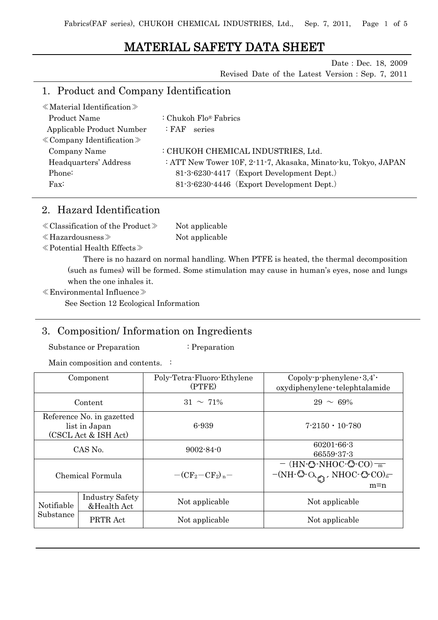# MATERIAL SAFETY DATA SHEET

Date: Dec. 18, 2009

Revised Date of the Latest Version:Sep. 7, 2011

## 1. Product and Company Identification

| $\langle$ Material Identification $\rangle$ |                                                               |
|---------------------------------------------|---------------------------------------------------------------|
| Product Name                                | : Chukoh Flo® Fabrics                                         |
| Applicable Product Number                   | series<br>:FAF-                                               |
| $\&$ Company Identification $\&$            |                                                               |
| Company Name                                | : CHUKOH CHEMICAL INDUSTRIES, Ltd.                            |
| Headquarters' Address                       | : ATT New Tower 10F, 2-11-7, Akasaka, Minato-ku, Tokyo, JAPAN |
| Phone:                                      | 81-3-6230-4417 (Export Development Dept.)                     |
| $\text{Fax}:$                               | 81-3-6230-4446 (Export Development Dept.)                     |
|                                             |                                                               |

## 2. Hazard Identification

| $\langle$ Classification of the Product $\rangle$ | Not applicable |
|---------------------------------------------------|----------------|
| $\ll$ Hazardousness $\gg$                         | Not applicable |

≪Potential Health Effects≫

There is no hazard on normal handling. When PTFE is heated, the thermal decomposition (such as fumes) will be formed. Some stimulation may cause in human's eyes, nose and lungs when the one inhales it.

≪Environmental Influence≫

See Section 12 Ecological Information

## 3. Composition/ Information on Ingredients

Substance or Preparation : Preparation

Main composition and contents. :

| Component                                                          |                                       | Poly-Tetra-Fluoro-Ethylene<br>(PTFE) | Copoly-p-phenylene $\cdot 3,4' \cdot$<br>oxydiphenylene · telephtalamide                                                                                                                           |
|--------------------------------------------------------------------|---------------------------------------|--------------------------------------|----------------------------------------------------------------------------------------------------------------------------------------------------------------------------------------------------|
| Content                                                            |                                       | $31 \sim 71\%$                       | $29 \sim 69\%$                                                                                                                                                                                     |
| Reference No. in gazetted<br>list in Japan<br>(CSCL Act & ISH Act) |                                       | 6-939<br>$7 - 2150 \cdot 10 - 780$   |                                                                                                                                                                                                    |
| CAS No.                                                            |                                       | $9002 - 84 - 0$                      | $60201 - 66 - 3$<br>66559-37-3                                                                                                                                                                     |
| Chemical Formula                                                   |                                       | $-(CF_2-CF_2)_p-$                    | $-$ (HN- $\circled{}$ -NHOC- $\circled{}$ -CO) $\frac{ }{m}$<br>$-(NH\cdot\textcircled{O}~\textcircled{A})$ . NHOC $\cdot$ $\textcircled{C}$ -CO) <sup><math>\textcircled{A}</math></sup><br>$m=n$ |
| Notifiable<br>Substance                                            | <b>Industry Safety</b><br>&Health Act | Not applicable                       | Not applicable                                                                                                                                                                                     |
|                                                                    | PRTR Act                              | Not applicable                       | Not applicable                                                                                                                                                                                     |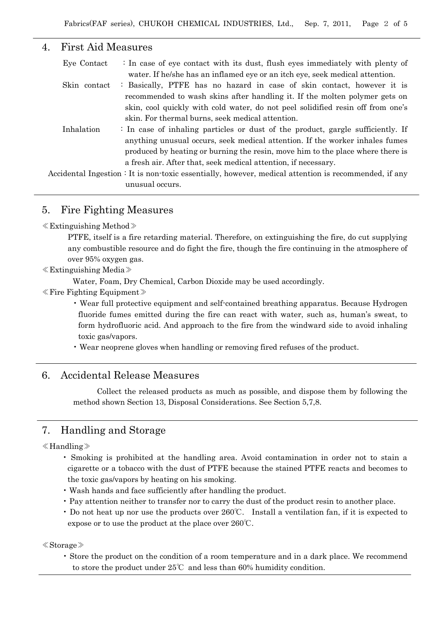### 4. First Aid Measures

| Eye Contact  | : In case of eye contact with its dust, flush eyes immediately with plenty of                         |
|--------------|-------------------------------------------------------------------------------------------------------|
|              | water. If he/she has an inflamed eye or an itch eye, seek medical attention.                          |
| Skin contact | : Basically, PTFE has no hazard in case of skin contact, however it is                                |
|              | recommended to wash skins after handling it. If the molten polymer gets on                            |
|              | skin, cool quickly with cold water, do not peel solidified resin off from one's                       |
|              | skin. For thermal burns, seek medical attention.                                                      |
| Inhalation   | : In case of inhaling particles or dust of the product, gargle sufficiently. If                       |
|              | anything unusual occurs, seek medical attention. If the worker inhales fumes                          |
|              | produced by heating or burning the resin, move him to the place where there is                        |
|              | a fresh air. After that, seek medical attention, if necessary.                                        |
|              | Accidental Ingestion : It is non-toxic essentially, however, medical attention is recommended, if any |
|              | unusual occurs.                                                                                       |

## 5. Fire Fighting Measures

#### ≪Extinguishing Method≫

PTFE, itself is a fire retarding material. Therefore, on extinguishing the fire, do cut supplying any combustible resource and do fight the fire, though the fire continuing in the atmosphere of over 95% oxygen gas.

#### ≪Extinguishing Media≫

Water, Foam, Dry Chemical, Carbon Dioxide may be used accordingly.

≪Fire Fighting Equipment≫

• Wear full protective equipment and self-contained breathing apparatus. Because Hydrogen fluoride fumes emitted during the fire can react with water, such as, human's sweat, to form hydrofluoric acid. And approach to the fire from the windward side to avoid inhaling toxic gas/vapors.

• Wear neoprene gloves when handling or removing fired refuses of the product.

### 6. Accidental Release Measures

Collect the released products as much as possible, and dispose them by following the method shown Section 13, Disposal Considerations. See Section 5,7,8.

## 7. Handling and Storage

#### ≪Handling≫

- Smoking is prohibited at the handling area. Avoid contamination in order not to stain a cigarette or a tobacco with the dust of PTFE because the stained PTFE reacts and becomes to the toxic gas/vapors by heating on his smoking.
- Wash hands and face sufficiently after handling the product.
- Pay attention neither to transfer nor to carry the dust of the product resin to another place.
- Do not heat up nor use the products over 260℃. Install a ventilation fan, if it is expected to expose or to use the product at the place over 260℃.

#### ≪Storage≫

• Store the product on the condition of a room temperature and in a dark place. We recommend to store the product under 25℃ and less than 60% humidity condition.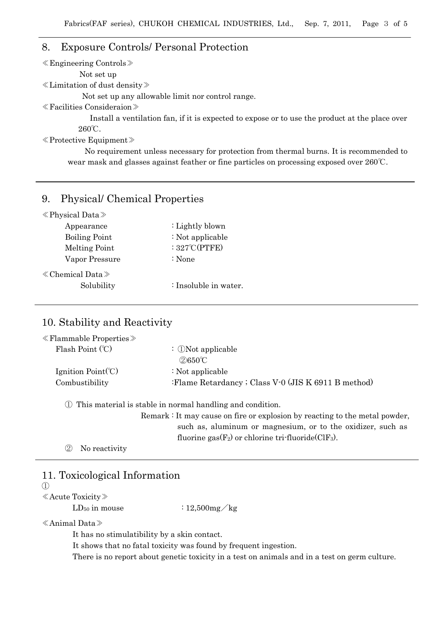### 8. Exposure Controls/ Personal Protection

≪Engineering Controls≫

Not set up

≪Limitation of dust density≫

Not set up any allowable limit nor control range.

≪Facilities Consideraion≫

Install a ventilation fan, if it is expected to expose or to use the product at the place over 260℃.

≪Protective Equipment≫

No requirement unless necessary for protection from thermal burns. It is recommended to wear mask and glasses against feather or fine particles on processing exposed over 260℃.

### 9. Physical/ Chemical Properties

| $\langle$ Physical Data $\rangle$ |
|-----------------------------------|
|-----------------------------------|

| : Lightly blown         |
|-------------------------|
| $\div$ Not applicable   |
| : $327^{\circ}$ C(PTFE) |
| $\therefore$ None       |
|                         |
| : Insoluble in water.   |
|                         |

### 10. Stability and Reactivity

| $\ll$ Flammable Properties $\gg$ |                                                              |
|----------------------------------|--------------------------------------------------------------|
| Flash Point $(C)$                | : $\mathbb{D}$ Not applicable<br>$2650^{\circ}$ C            |
|                                  |                                                              |
| Ignition $Point(C)$              | $\div$ Not applicable                                        |
| Combustibility                   | :Flame Retardancy ; Class V-0 (JIS K 6911 B method)          |
|                                  |                                                              |
|                                  | 1) This material is stable in normal handling and condition. |
|                                  |                                                              |

Remark : It may cause on fire or explosion by reacting to the metal powder, such as, aluminum or magnesium, or to the oxidizer, such as fluorine gas $(F_2)$  or chlorine tri-fluoride  $(CIF_3)$ .

② No reactivity

## 11. Toxicological Information

 $\mathcal{L}$ 

≪Acute Toxicity≫

 $LD_{50}$  in mouse :  $12,500$  mg/kg

≪Animal Data≫

It has no stimulatibility by a skin contact.

It shows that no fatal toxicity was found by frequent ingestion.

There is no report about genetic toxicity in a test on animals and in a test on germ culture.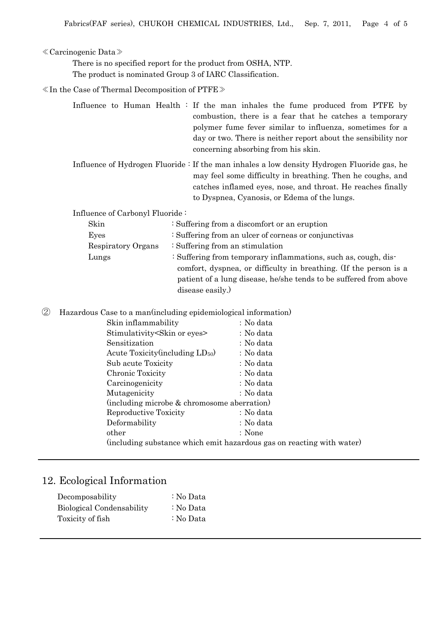#### ≪Carcinogenic Data≫

There is no specified report for the product from OSHA, NTP. The product is nominated Group 3 of IARC Classification.

≪In the Case of Thermal Decomposition of PTFE≫

|  |  | Influence to Human Health : If the man inhales the fume produced from PTFE by |  |
|--|--|-------------------------------------------------------------------------------|--|
|  |  | combustion, there is a fear that he catches a temporary                       |  |
|  |  | polymer fume fever similar to influenza, sometimes for a                      |  |
|  |  | day or two. There is neither report about the sensibility nor                 |  |
|  |  | concerning absorbing from his skin.                                           |  |

Influence of Hydrogen Fluoride : If the man inhales a low density Hydrogen Fluoride gas, he may feel some difficulty in breathing. Then he coughs, and catches inflamed eyes, nose, and throat. He reaches finally to Dyspnea, Cyanosis, or Edema of the lungs.

Influence of Carbonyl Fluoride :

| : Suffering from a discomfort or an eruption                      |  |  |
|-------------------------------------------------------------------|--|--|
| : Suffering from an ulcer of corneas or conjunctivas              |  |  |
| : Suffering from an stimulation                                   |  |  |
| : Suffering from temporary inflammations, such as, cough, dis-    |  |  |
| comfort, dyspnea, or difficulty in breathing. (If the person is a |  |  |
| patient of a lung disease, he/she tends to be suffered from above |  |  |
|                                                                   |  |  |
|                                                                   |  |  |

② Hazardous Case to a man(including epidemiological information)

| Skin inflammability                                                   | : No data |
|-----------------------------------------------------------------------|-----------|
| Stimulativity Skin or eyes                                            | : No data |
| Sensitization                                                         | : No data |
| Acute Toxicity (including LD <sub>50</sub> )                          | : No data |
| Sub acute Toxicity                                                    | : No data |
| Chronic Toxicity                                                      | : No data |
| Carcinogenicity                                                       | : No data |
| Mutagenicity                                                          | : No data |
| (including microbe & chromosome aberration)                           |           |
| Reproductive Toxicity                                                 | : No data |
| Deformability                                                         | : No data |
| other                                                                 | : None    |
| (including substance which emit hazardous gas on reacting with water) |           |
|                                                                       |           |

### 12. Ecological Information

| Decomposability           | : No Data |
|---------------------------|-----------|
| Biological Condensability | : No Data |
| Toxicity of fish          | : No Data |